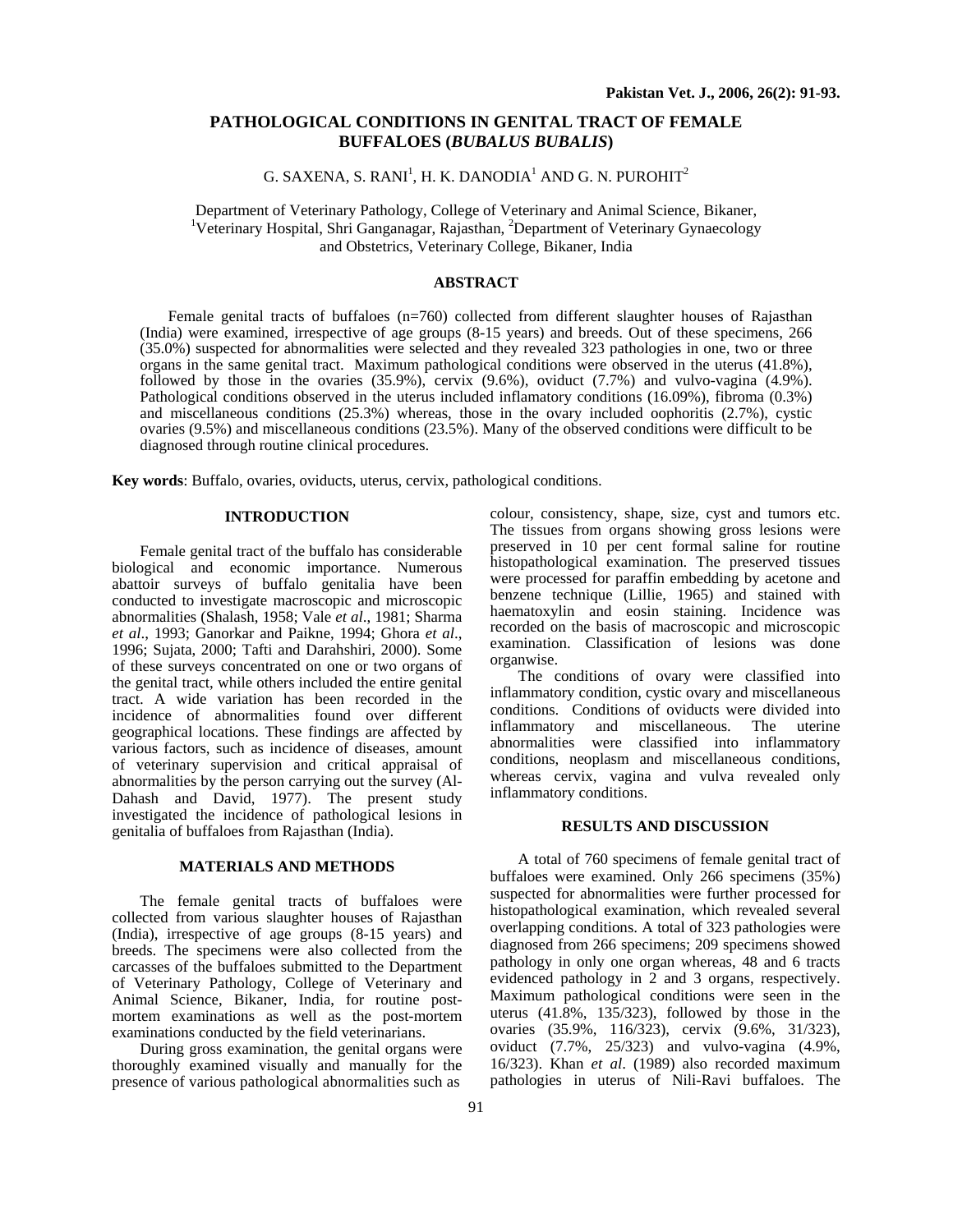## **PATHOLOGICAL CONDITIONS IN GENITAL TRACT OF FEMALE BUFFALOES (***BUBALUS BUBALIS***)**

# G. SAXENA, S. RANI<sup>1</sup>, H. K. DANODIA<sup>1</sup> AND G. N. PUROHIT<sup>2</sup>

Department of Veterinary Pathology, College of Veterinary and Animal Science, Bikaner, 1 Veterinary Hospital, Shri Ganganagar, Rajasthan, <sup>2</sup>Department of Veterinary Gynaecology and Obstetrics, Veterinary College, Bikaner, India

## **ABSTRACT**

Female genital tracts of buffaloes (n=760) collected from different slaughter houses of Rajasthan (India) were examined, irrespective of age groups (8-15 years) and breeds. Out of these specimens, 266 (35.0%) suspected for abnormalities were selected and they revealed 323 pathologies in one, two or three organs in the same genital tract. Maximum pathological conditions were observed in the uterus (41.8%), followed by those in the ovaries (35.9%), cervix (9.6%), oviduct (7.7%) and vulvo-vagina (4.9%). Pathological conditions observed in the uterus included inflamatory conditions (16.09%), fibroma (0.3%) and miscellaneous conditions (25.3%) whereas, those in the ovary included oophoritis (2.7%), cystic ovaries (9.5%) and miscellaneous conditions (23.5%). Many of the observed conditions were difficult to be diagnosed through routine clinical procedures.

**Key words**: Buffalo, ovaries, oviducts, uterus, cervix, pathological conditions.

### **INTRODUCTION**

Female genital tract of the buffalo has considerable biological and economic importance. Numerous abattoir surveys of buffalo genitalia have been conducted to investigate macroscopic and microscopic abnormalities (Shalash, 1958; Vale *et al*., 1981; Sharma *et al*., 1993; Ganorkar and Paikne, 1994; Ghora *et al*., 1996; Sujata, 2000; Tafti and Darahshiri, 2000). Some of these surveys concentrated on one or two organs of the genital tract, while others included the entire genital tract. A wide variation has been recorded in the incidence of abnormalities found over different geographical locations. These findings are affected by various factors, such as incidence of diseases, amount of veterinary supervision and critical appraisal of abnormalities by the person carrying out the survey (Al-Dahash and David, 1977). The present study investigated the incidence of pathological lesions in genitalia of buffaloes from Rajasthan (India).

#### **MATERIALS AND METHODS**

The female genital tracts of buffaloes were collected from various slaughter houses of Rajasthan (India), irrespective of age groups (8-15 years) and breeds. The specimens were also collected from the carcasses of the buffaloes submitted to the Department of Veterinary Pathology, College of Veterinary and Animal Science, Bikaner, India, for routine postmortem examinations as well as the post-mortem examinations conducted by the field veterinarians.

During gross examination, the genital organs were thoroughly examined visually and manually for the presence of various pathological abnormalities such as

colour, consistency, shape, size, cyst and tumors etc. The tissues from organs showing gross lesions were preserved in 10 per cent formal saline for routine histopathological examination. The preserved tissues were processed for paraffin embedding by acetone and benzene technique (Lillie, 1965) and stained with haematoxylin and eosin staining. Incidence was recorded on the basis of macroscopic and microscopic examination. Classification of lesions was done organwise.

The conditions of ovary were classified into inflammatory condition, cystic ovary and miscellaneous conditions. Conditions of oviducts were divided into inflammatory and miscellaneous. The uterine abnormalities were classified into inflammatory conditions, neoplasm and miscellaneous conditions, whereas cervix, vagina and vulva revealed only inflammatory conditions.

#### **RESULTS AND DISCUSSION**

A total of 760 specimens of female genital tract of buffaloes were examined. Only 266 specimens (35%) suspected for abnormalities were further processed for histopathological examination, which revealed several overlapping conditions. A total of 323 pathologies were diagnosed from 266 specimens; 209 specimens showed pathology in only one organ whereas, 48 and 6 tracts evidenced pathology in 2 and 3 organs, respectively. Maximum pathological conditions were seen in the uterus  $(41.8\%, 135/323)$ , followed by those in the ovaries (35.9%, 116/323), cervix (9.6%, 31/323), oviduct (7.7%, 25/323) and vulvo-vagina (4.9%, 16/323). Khan *et al*. (1989) also recorded maximum pathologies in uterus of Nili-Ravi buffaloes. The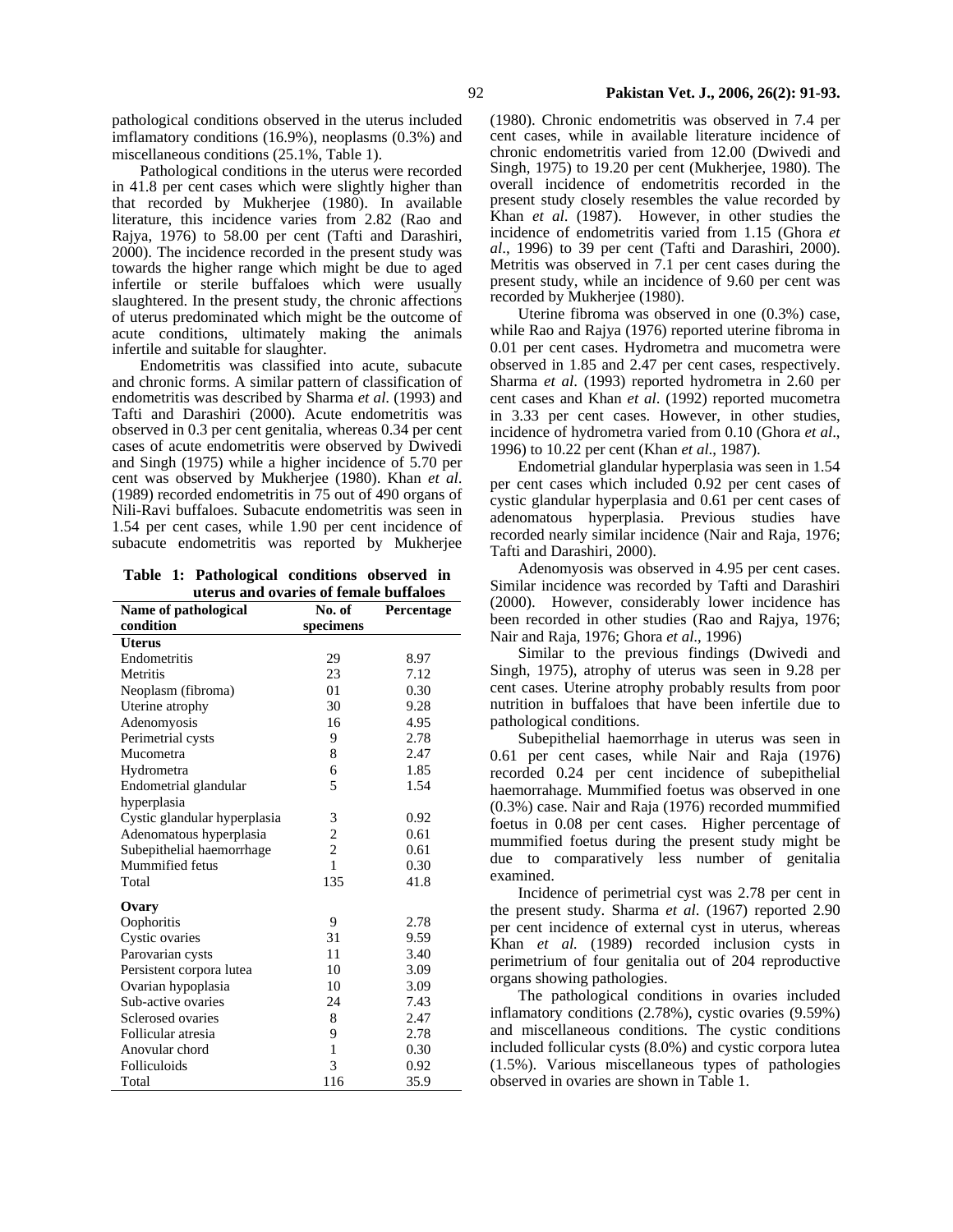Pathological conditions in the uterus were recorded in 41.8 per cent cases which were slightly higher than that recorded by Mukherjee (1980). In available literature, this incidence varies from 2.82 (Rao and Rajya, 1976) to 58.00 per cent (Tafti and Darashiri, 2000). The incidence recorded in the present study was towards the higher range which might be due to aged infertile or sterile buffaloes which were usually slaughtered. In the present study, the chronic affections of uterus predominated which might be the outcome of acute conditions, ultimately making the animals infertile and suitable for slaughter.

Endometritis was classified into acute, subacute and chronic forms. A similar pattern of classification of endometritis was described by Sharma *et al*. (1993) and Tafti and Darashiri (2000). Acute endometritis was observed in 0.3 per cent genitalia, whereas 0.34 per cent cases of acute endometritis were observed by Dwivedi and Singh (1975) while a higher incidence of 5.70 per cent was observed by Mukherjee (1980). Khan *et al*. (1989) recorded endometritis in 75 out of 490 organs of Nili-Ravi buffaloes. Subacute endometritis was seen in 1.54 per cent cases, while 1.90 per cent incidence of subacute endometritis was reported by Mukherjee

**Table 1: Pathological conditions observed in uterus and ovaries of female buffaloes** 

| aterus and ovaries or remare buildroes<br>Name of pathological | No. of         | Percentage |
|----------------------------------------------------------------|----------------|------------|
| condition                                                      | specimens      |            |
| Uterus                                                         |                |            |
| Endometritis                                                   | 29             | 8.97       |
| Metritis                                                       | 23             | 7.12       |
| Neoplasm (fibroma)                                             | 01             | 0.30       |
| Uterine atrophy                                                | 30             | 9.28       |
| Adenomyosis                                                    | 16             | 4.95       |
| Perimetrial cysts                                              | 9              | 2.78       |
| Mucometra                                                      | 8              | 2.47       |
| Hydrometra                                                     | 6              | 1.85       |
| Endometrial glandular                                          | 5              | 1.54       |
| hyperplasia                                                    |                |            |
| Cystic glandular hyperplasia                                   | 3              | 0.92       |
| Adenomatous hyperplasia                                        | $\overline{c}$ | 0.61       |
| Subepithelial haemorrhage                                      | $\overline{c}$ | 0.61       |
| Mummified fetus                                                | $\mathbf{1}$   | 0.30       |
| Total                                                          | 135            | 41.8       |
| Ovary                                                          |                |            |
| Oophoritis                                                     | 9              | 2.78       |
| Cystic ovaries                                                 | 31             | 9.59       |
| Parovarian cysts                                               | 11             | 3.40       |
| Persistent corpora lutea                                       | 10             | 3.09       |
| Ovarian hypoplasia                                             | 10             | 3.09       |
| Sub-active ovaries                                             | 24             | 7.43       |
| Sclerosed ovaries                                              | 8              | 2.47       |
| Follicular atresia                                             | 9              | 2.78       |
| Anovular chord                                                 | 1              | 0.30       |
| Folliculoids                                                   | 3              | 0.92       |
| Total                                                          | 116            | 35.9       |

(1980). Chronic endometritis was observed in 7.4 per cent cases, while in available literature incidence of chronic endometritis varied from 12.00 (Dwivedi and Singh, 1975) to 19.20 per cent (Mukherjee, 1980). The overall incidence of endometritis recorded in the present study closely resembles the value recorded by Khan *et al*. (1987). However, in other studies the incidence of endometritis varied from 1.15 (Ghora *et al*., 1996) to 39 per cent (Tafti and Darashiri, 2000). Metritis was observed in 7.1 per cent cases during the present study, while an incidence of 9.60 per cent was recorded by Mukherjee (1980).

Uterine fibroma was observed in one (0.3%) case, while Rao and Rajya (1976) reported uterine fibroma in 0.01 per cent cases. Hydrometra and mucometra were observed in 1.85 and 2.47 per cent cases, respectively. Sharma *et al*. (1993) reported hydrometra in 2.60 per cent cases and Khan *et al*. (1992) reported mucometra in 3.33 per cent cases. However, in other studies, incidence of hydrometra varied from 0.10 (Ghora *et al*., 1996) to 10.22 per cent (Khan *et al*., 1987).

Endometrial glandular hyperplasia was seen in 1.54 per cent cases which included 0.92 per cent cases of cystic glandular hyperplasia and 0.61 per cent cases of adenomatous hyperplasia. Previous studies have recorded nearly similar incidence (Nair and Raja, 1976; Tafti and Darashiri, 2000).

Adenomyosis was observed in 4.95 per cent cases. Similar incidence was recorded by Tafti and Darashiri (2000). However, considerably lower incidence has been recorded in other studies (Rao and Rajya, 1976; Nair and Raja, 1976; Ghora *et al*., 1996)

Similar to the previous findings (Dwivedi and Singh, 1975), atrophy of uterus was seen in 9.28 per cent cases. Uterine atrophy probably results from poor nutrition in buffaloes that have been infertile due to pathological conditions.

Subepithelial haemorrhage in uterus was seen in 0.61 per cent cases, while Nair and Raja (1976) recorded 0.24 per cent incidence of subepithelial haemorrahage. Mummified foetus was observed in one (0.3%) case. Nair and Raja (1976) recorded mummified foetus in 0.08 per cent cases. Higher percentage of mummified foetus during the present study might be due to comparatively less number of genitalia examined.

Incidence of perimetrial cyst was 2.78 per cent in the present study. Sharma *et al*. (1967) reported 2.90 per cent incidence of external cyst in uterus, whereas Khan *et al.* (1989) recorded inclusion cysts in perimetrium of four genitalia out of 204 reproductive organs showing pathologies.

The pathological conditions in ovaries included inflamatory conditions (2.78%), cystic ovaries (9.59%) and miscellaneous conditions. The cystic conditions included follicular cysts (8.0%) and cystic corpora lutea (1.5%). Various miscellaneous types of pathologies observed in ovaries are shown in Table 1.